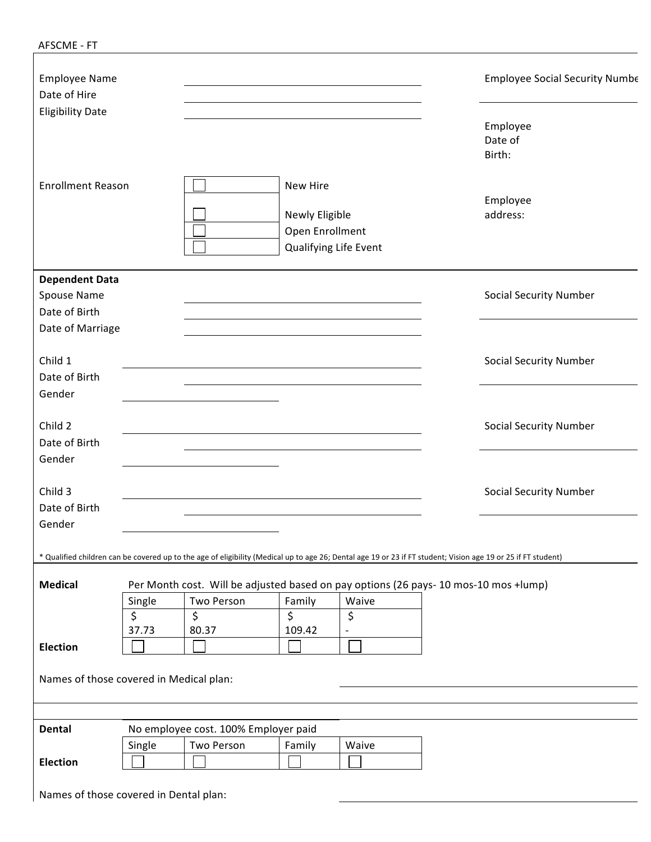| AFSCME - FT |  |  |
|-------------|--|--|
|             |  |  |

| <b>Employee Name</b><br>Date of Hire    |        |                                                                                                                                                               |                                                                        |                          | <b>Employee Social Security Numbe</b> |
|-----------------------------------------|--------|---------------------------------------------------------------------------------------------------------------------------------------------------------------|------------------------------------------------------------------------|--------------------------|---------------------------------------|
| <b>Eligibility Date</b>                 |        |                                                                                                                                                               |                                                                        |                          | Employee<br>Date of<br>Birth:         |
| <b>Enrollment Reason</b>                |        |                                                                                                                                                               | New Hire<br>Newly Eligible<br>Open Enrollment<br>Qualifying Life Event |                          | Employee<br>address:                  |
| <b>Dependent Data</b>                   |        |                                                                                                                                                               |                                                                        |                          |                                       |
| Spouse Name                             |        |                                                                                                                                                               |                                                                        |                          | <b>Social Security Number</b>         |
| Date of Birth                           |        |                                                                                                                                                               |                                                                        |                          |                                       |
| Date of Marriage                        |        |                                                                                                                                                               |                                                                        |                          |                                       |
| Child 1                                 |        |                                                                                                                                                               |                                                                        |                          | <b>Social Security Number</b>         |
| Date of Birth                           |        |                                                                                                                                                               |                                                                        |                          |                                       |
| Gender                                  |        |                                                                                                                                                               |                                                                        |                          |                                       |
| Child 2                                 |        |                                                                                                                                                               |                                                                        |                          | <b>Social Security Number</b>         |
| Date of Birth                           |        |                                                                                                                                                               |                                                                        |                          |                                       |
| Gender                                  |        |                                                                                                                                                               |                                                                        |                          |                                       |
| Child 3                                 |        |                                                                                                                                                               |                                                                        |                          | <b>Social Security Number</b>         |
| Date of Birth                           |        |                                                                                                                                                               |                                                                        |                          |                                       |
| Gender                                  |        |                                                                                                                                                               |                                                                        |                          |                                       |
|                                         |        | * Qualified children can be covered up to the age of eligibility (Medical up to age 26; Dental age 19 or 23 if FT student; Vision age 19 or 25 if FT student) |                                                                        |                          |                                       |
| <b>Medical</b>                          |        | Per Month cost. Will be adjusted based on pay options (26 pays- 10 mos-10 mos +lump)                                                                          |                                                                        |                          |                                       |
|                                         | Single | Two Person                                                                                                                                                    | Family                                                                 | Waive                    |                                       |
|                                         | \$     | \$                                                                                                                                                            | \$                                                                     | \$                       |                                       |
|                                         | 37.73  | 80.37                                                                                                                                                         | 109.42                                                                 | $\overline{\phantom{a}}$ |                                       |
| Election                                |        |                                                                                                                                                               |                                                                        |                          |                                       |
| Names of those covered in Medical plan: |        |                                                                                                                                                               |                                                                        |                          |                                       |
|                                         |        |                                                                                                                                                               |                                                                        |                          |                                       |
| <b>Dental</b>                           |        | No employee cost. 100% Employer paid                                                                                                                          |                                                                        |                          |                                       |
|                                         | Single | Two Person                                                                                                                                                    | Family                                                                 | Waive                    |                                       |
| <b>Election</b>                         |        |                                                                                                                                                               |                                                                        |                          |                                       |
|                                         |        |                                                                                                                                                               |                                                                        |                          |                                       |

Names of those covered in Dental plan: